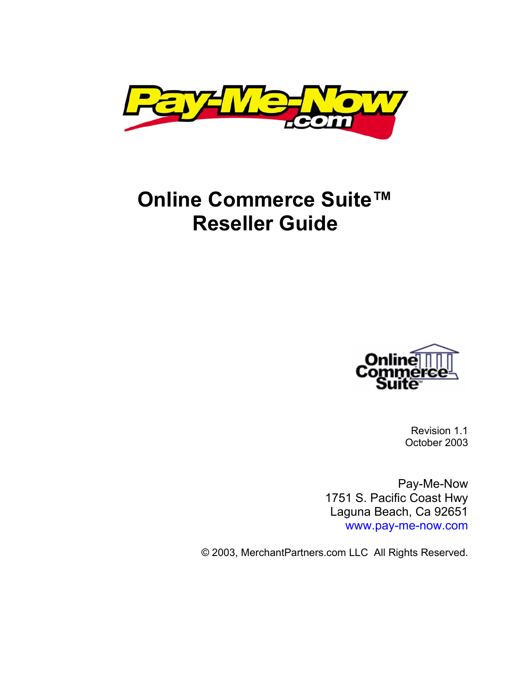

# **Online Commerce Suite™ Reseller Guide**



Revision 1.1 October 2003

Pay-Me-Now 1751 S. Pacific Coast Hwy Laguna Beach, Ca 92651 [www.pay-me-now.com](http://www.merchantcommerceinc.com/)

© 2003, MerchantPartners.com LLC All Rights Reserved.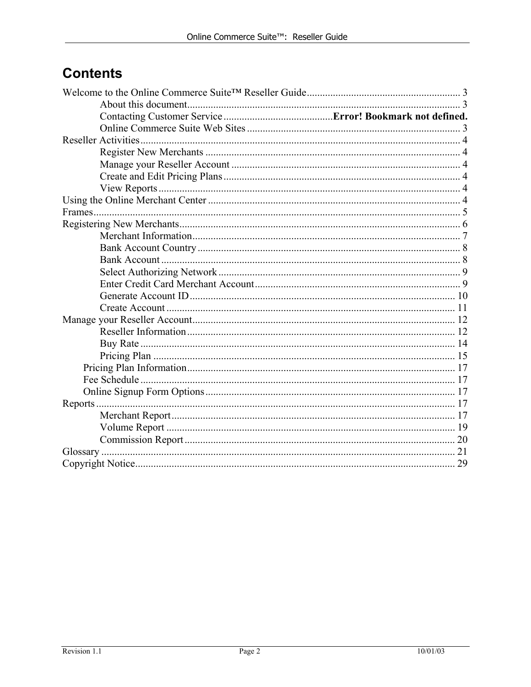## **Contents**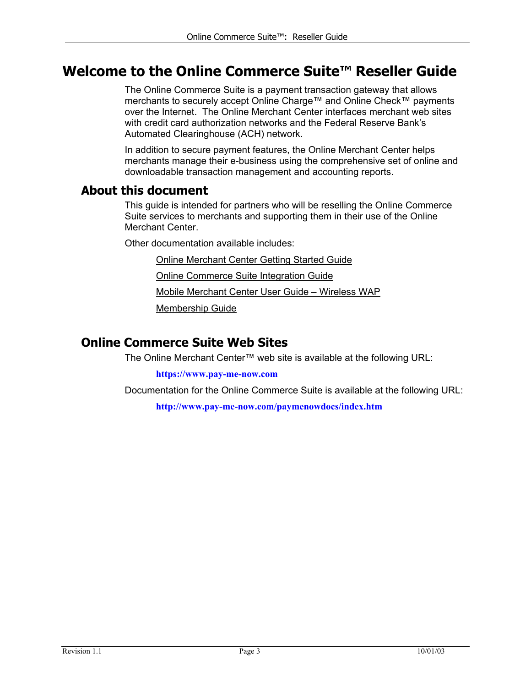## <span id="page-2-0"></span>**Welcome to the Online Commerce Suite™ Reseller Guide**

The Online Commerce Suite is a payment transaction gateway that allows merchants to securely accept Online Charge™ and Online Check™ payments over the Internet. The Online Merchant Center interfaces merchant web sites with credit card authorization networks and the Federal Reserve Bank's Automated Clearinghouse (ACH) network.

In addition to secure payment features, the Online Merchant Center helps merchants manage their e-business using the comprehensive set of online and downloadable transaction management and accounting reports.

#### **About this document**

This guide is intended for partners who will be reselling the Online Commerce Suite services to merchants and supporting them in their use of the Online Merchant Center.

Other documentation available includes:

Online Merchant Center Getting Started Guide

Online Commerce Suite Integration Guide

Mobile Merchant Center User Guide – Wireless WAP

Membership Guide

#### **Online Commerce Suite Web Sites**

The Online Merchant Center™ web site is available at the following URL:

**[https://www.pay-me-now.com](https://www4.atsbank.com/admin/)**

Documentation for the Online Commerce Suite is available at the following URL:

**[http://www.pay-me-now.com/paymenowdocs/index.htm](http://documentation.merchantpartners.com/)**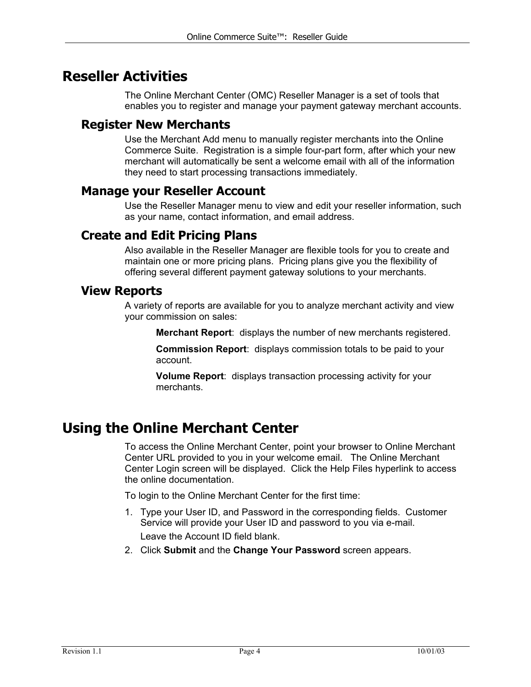## <span id="page-3-0"></span>**Reseller Activities**

The Online Merchant Center (OMC) Reseller Manager is a set of tools that enables you to register and manage your payment gateway merchant accounts.

#### **Register New Merchants**

Use the Merchant Add menu to manually register merchants into the Online Commerce Suite. Registration is a simple four-part form, after which your new merchant will automatically be sent a welcome email with all of the information they need to start processing transactions immediately.

#### **Manage your Reseller Account**

Use the Reseller Manager menu to view and edit your reseller information, such as your name, contact information, and email address.

#### **Create and Edit Pricing Plans**

Also available in the Reseller Manager are flexible tools for you to create and maintain one or more pricing plans. Pricing plans give you the flexibility of offering several different payment gateway solutions to your merchants.

#### **View Reports**

A variety of reports are available for you to analyze merchant activity and view your commission on sales:

**Merchant Report**: displays the number of new merchants registered.

**Commission Report**: displays commission totals to be paid to your account.

**Volume Report**: displays transaction processing activity for your merchants.

## **Using the Online Merchant Center**

To access the Online Merchant Center, point your browser to Online Merchant Center URL provided to you in your welcome email. The Online Merchant Center Login screen will be displayed. Click the Help Files hyperlink to access the online documentation.

To login to the Online Merchant Center for the first time:

- 1. Type your User ID, and Password in the corresponding fields. Customer Service will provide your User ID and password to you via e-mail. Leave the Account ID field blank.
- 2. Click **Submit** and the **Change Your Password** screen appears.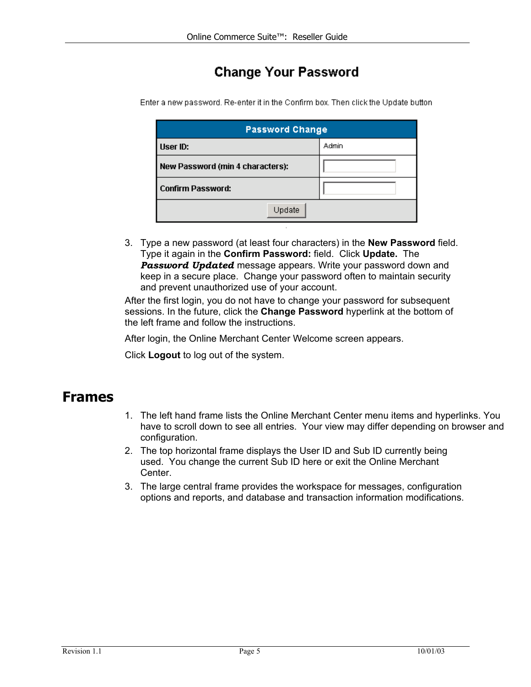## **Change Your Password**

| <b>Password Change</b>           |       |
|----------------------------------|-------|
| User ID:                         | Admin |
| New Password (min 4 characters): |       |
| <b>Confirm Password:</b>         |       |
| Update                           |       |

<span id="page-4-0"></span>Enter a new password. Re-enter it in the Confirm box. Then click the Update button

3. Type a new password (at least four characters) in the **New Password** field. Type it again in the **Confirm Password:** field. Click **Update.** The *Password Updated* message appears. Write your password down and keep in a secure place. Change your password often to maintain security and prevent unauthorized use of your account.

After the first login, you do not have to change your password for subsequent sessions. In the future, click the **Change Password** hyperlink at the bottom of the left frame and follow the instructions.

After login, the Online Merchant Center Welcome screen appears.

Click **Logout** to log out of the system.

### **Frames**

- 1. The left hand frame lists the Online Merchant Center menu items and hyperlinks. You have to scroll down to see all entries. Your view may differ depending on browser and configuration.
- 2. The top horizontal frame displays the User ID and Sub ID currently being used. You change the current Sub ID here or exit the Online Merchant Center.
- 3. The large central frame provides the workspace for messages, configuration options and reports, and database and transaction information modifications.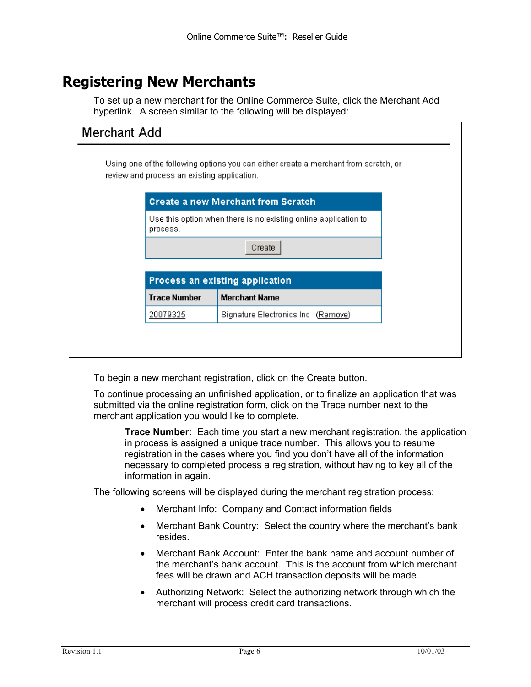## <span id="page-5-0"></span>**Registering New Merchants**

To set up a new merchant for the Online Commerce Suite, click the Merchant Add hyperlink. A screen similar to the following will be displayed:

| Merchant Add |                                             |                                                                                      |  |
|--------------|---------------------------------------------|--------------------------------------------------------------------------------------|--|
|              | review and process an existing application. | Using one of the following options you can either create a merchant from scratch, or |  |
|              |                                             | <b>Create a new Merchant from Scratch</b>                                            |  |
|              | process.                                    | Use this option when there is no existing online application to                      |  |
|              |                                             | Create                                                                               |  |
|              |                                             | Process an existing application                                                      |  |
|              | <b>Trace Number</b>                         | <b>Merchant Name</b>                                                                 |  |
|              | 20079325                                    | Signature Electronics Inc (Remove)                                                   |  |
|              |                                             |                                                                                      |  |
|              |                                             |                                                                                      |  |

To begin a new merchant registration, click on the Create button.

To continue processing an unfinished application, or to finalize an application that was submitted via the online registration form, click on the Trace number next to the merchant application you would like to complete.

**Trace Number:** Each time you start a new merchant registration, the application in process is assigned a unique trace number. This allows you to resume registration in the cases where you find you don't have all of the information necessary to completed process a registration, without having to key all of the information in again.

The following screens will be displayed during the merchant registration process:

- Merchant Info: Company and Contact information fields
- Merchant Bank Country: Select the country where the merchant's bank resides.
- Merchant Bank Account: Enter the bank name and account number of the merchant's bank account. This is the account from which merchant fees will be drawn and ACH transaction deposits will be made.
- Authorizing Network: Select the authorizing network through which the merchant will process credit card transactions.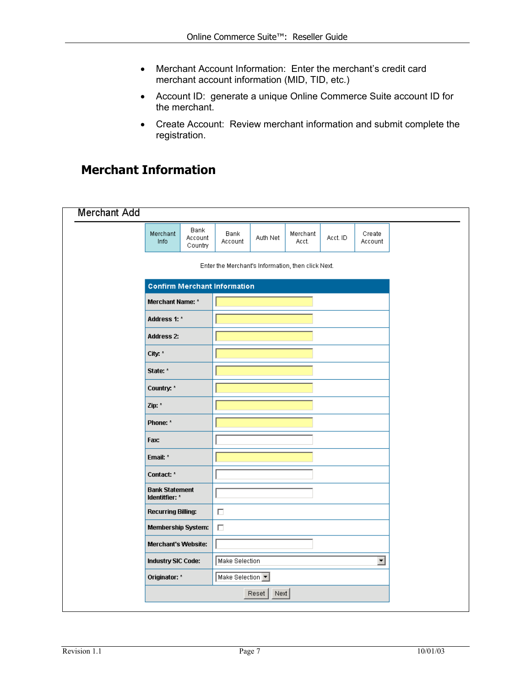- <span id="page-6-0"></span>• Merchant Account Information: Enter the merchant's credit card merchant account information (MID, TID, etc.)
- Account ID: generate a unique Online Commerce Suite account ID for the merchant.
- Create Account: Review merchant information and submit complete the registration.

## **Merchant Information**

| <b>Merchant Add</b> |                                         |                            |                                                    |               |                   |          |                         |  |
|---------------------|-----------------------------------------|----------------------------|----------------------------------------------------|---------------|-------------------|----------|-------------------------|--|
|                     | Merchant<br>Info                        | Bank<br>Account<br>Country | Bank<br>Account                                    | Auth Net      | Merchant<br>Acct. | Acct. ID | Create<br>Account       |  |
|                     |                                         |                            | Enter the Merchant's Information, then click Next. |               |                   |          |                         |  |
|                     |                                         |                            | <b>Confirm Merchant Information</b>                |               |                   |          |                         |  |
|                     | Merchant Name: *                        |                            |                                                    |               |                   |          |                         |  |
|                     | Address 1: *                            |                            |                                                    |               |                   |          |                         |  |
|                     | <b>Address 2:</b>                       |                            |                                                    |               |                   |          |                         |  |
|                     | City: *                                 |                            |                                                    |               |                   |          |                         |  |
|                     | State: *                                |                            |                                                    |               |                   |          |                         |  |
|                     | Country: *                              |                            |                                                    |               |                   |          |                         |  |
|                     | Zip: *                                  |                            |                                                    |               |                   |          |                         |  |
|                     | Phone: *                                |                            |                                                    |               |                   |          |                         |  |
|                     | Fax:                                    |                            |                                                    |               |                   |          |                         |  |
|                     | Email: *                                |                            |                                                    |               |                   |          |                         |  |
|                     | Contact: *                              |                            |                                                    |               |                   |          |                         |  |
|                     | <b>Bank Statement</b><br>Identitfier: * |                            |                                                    |               |                   |          |                         |  |
|                     | <b>Recurring Billing:</b>               |                            | П                                                  |               |                   |          |                         |  |
|                     | <b>Membership System:</b>               |                            | $\Box$                                             |               |                   |          |                         |  |
|                     | Merchant's Website:                     |                            |                                                    |               |                   |          |                         |  |
|                     | Industry SIC Code:                      |                            | Make Selection                                     |               |                   |          | $\overline{\mathbf{r}}$ |  |
|                     | Originator: *                           |                            | Make Selection 7                                   |               |                   |          |                         |  |
|                     |                                         |                            |                                                    | Reset<br>Next |                   |          |                         |  |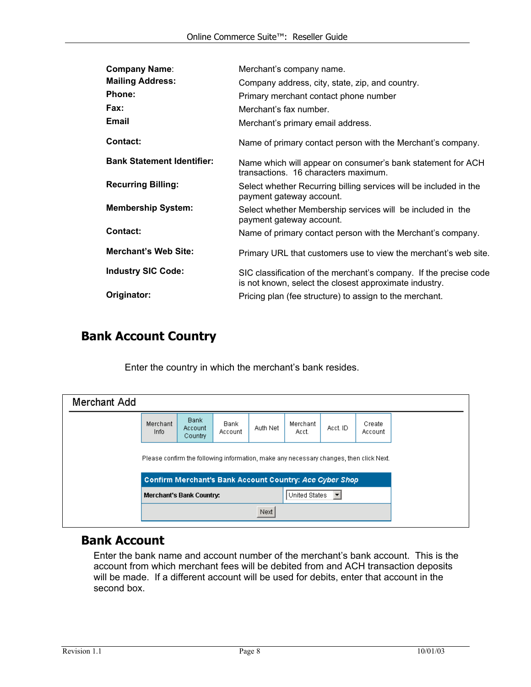<span id="page-7-0"></span>

| <b>Company Name:</b>              | Merchant's company name.                                                                                                    |
|-----------------------------------|-----------------------------------------------------------------------------------------------------------------------------|
| <b>Mailing Address:</b>           | Company address, city, state, zip, and country.                                                                             |
| Phone:                            | Primary merchant contact phone number                                                                                       |
| Fax:                              | Merchant's fax number.                                                                                                      |
| <b>Email</b>                      | Merchant's primary email address.                                                                                           |
| Contact:                          | Name of primary contact person with the Merchant's company.                                                                 |
| <b>Bank Statement Identifier:</b> | Name which will appear on consumer's bank statement for ACH<br>transactions. 16 characters maximum.                         |
| <b>Recurring Billing:</b>         | Select whether Recurring billing services will be included in the<br>payment gateway account.                               |
| <b>Membership System:</b>         | Select whether Membership services will be included in the<br>payment gateway account.                                      |
| Contact:                          | Name of primary contact person with the Merchant's company.                                                                 |
| <b>Merchant's Web Site:</b>       | Primary URL that customers use to view the merchant's web site.                                                             |
| <b>Industry SIC Code:</b>         | SIC classification of the merchant's company. If the precise code<br>is not known, select the closest approximate industry. |
| Originator:                       | Pricing plan (fee structure) to assign to the merchant.                                                                     |

## **Bank Account Country**

Enter the country in which the merchant's bank resides.

| Merchant Add |                                                                                        |                            |                 |          |                   |          |                   |  |
|--------------|----------------------------------------------------------------------------------------|----------------------------|-----------------|----------|-------------------|----------|-------------------|--|
|              | Merchant<br>Info                                                                       | Bank<br>Account<br>Country | Bank<br>Account | Auth Net | Merchant<br>Acct. | Acct. ID | Create<br>Account |  |
|              | Please confirm the following information, make any necessary changes, then click Next. |                            |                 |          |                   |          |                   |  |
|              | Confirm Merchant's Bank Account Country: Ace Cyber Shop                                |                            |                 |          |                   |          |                   |  |
|              | United States<br>Merchant's Bank Country:<br>▼                                         |                            |                 |          |                   |          |                   |  |
|              |                                                                                        |                            |                 | Next     |                   |          |                   |  |

#### **Bank Account**

Enter the bank name and account number of the merchant's bank account. This is the account from which merchant fees will be debited from and ACH transaction deposits will be made. If a different account will be used for debits, enter that account in the second box.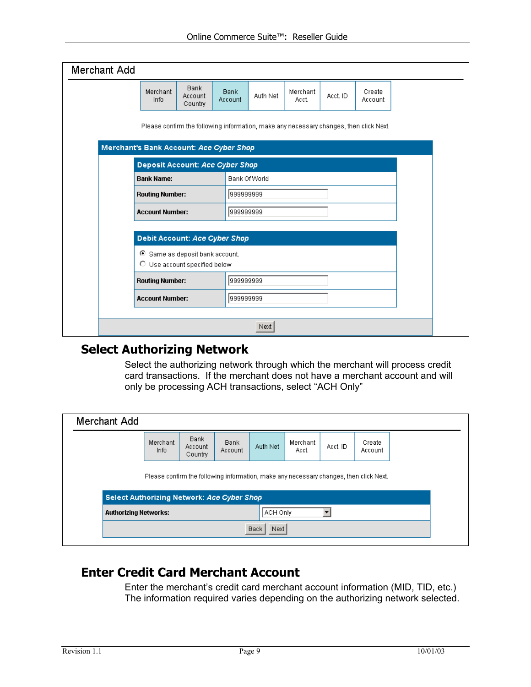<span id="page-8-0"></span>

| Please confirm the following information, make any necessary changes, then click Next.<br>Merchant's Bank Account: Ace Cyber Shop<br><b>Deposit Account: Ace Cyber Shop</b><br><b>Bank Name:</b><br><b>Bank Of World</b><br>999999999<br><b>Routing Number:</b><br>1999999999<br><b>Account Number:</b> |
|---------------------------------------------------------------------------------------------------------------------------------------------------------------------------------------------------------------------------------------------------------------------------------------------------------|
|                                                                                                                                                                                                                                                                                                         |
|                                                                                                                                                                                                                                                                                                         |
|                                                                                                                                                                                                                                                                                                         |
|                                                                                                                                                                                                                                                                                                         |
|                                                                                                                                                                                                                                                                                                         |
| Debit Account: Ace Cyber Shop                                                                                                                                                                                                                                                                           |
| Same as deposit bank account.<br>O Use account specified below                                                                                                                                                                                                                                          |
| 1999999999<br><b>Routing Number:</b>                                                                                                                                                                                                                                                                    |
| <b>Account Number:</b><br>999999999                                                                                                                                                                                                                                                                     |

#### **Select Authorizing Network**

Select the authorizing network through which the merchant will process credit card transactions. If the merchant does not have a merchant account and will only be processing ACH transactions, select "ACH Only"

| Merchant Add                                                                                                                                |                              |                            |                        |          |                   |          |                   |  |
|---------------------------------------------------------------------------------------------------------------------------------------------|------------------------------|----------------------------|------------------------|----------|-------------------|----------|-------------------|--|
|                                                                                                                                             | Merchant<br>Info             | Bank<br>Account<br>Country | <b>Bank</b><br>Account | Auth Net | Merchant<br>Acct. | Acct. ID | Create<br>Account |  |
| Please confirm the following information, make any necessary changes, then click Next.<br><b>Select Authorizing Network: Ace Cyber Shop</b> |                              |                            |                        |          |                   |          |                   |  |
|                                                                                                                                             | <b>Authorizing Networks:</b> |                            |                        |          | ACH Only          |          |                   |  |
| <b>Back</b><br>Next                                                                                                                         |                              |                            |                        |          |                   |          |                   |  |

### **Enter Credit Card Merchant Account**

Enter the merchant's credit card merchant account information (MID, TID, etc.) The information required varies depending on the authorizing network selected.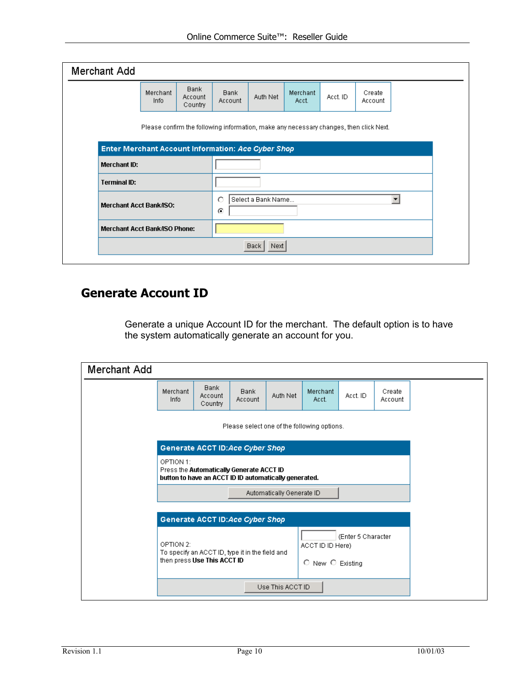<span id="page-9-0"></span>

| Merchant Add                                                                                                                                 |                                      |                                   |                              |          |                   |               |                   |  |  |  |  |  |
|----------------------------------------------------------------------------------------------------------------------------------------------|--------------------------------------|-----------------------------------|------------------------------|----------|-------------------|---------------|-------------------|--|--|--|--|--|
|                                                                                                                                              | Merchant<br>Info                     | <b>Bank</b><br>Account<br>Country | <b>Bank</b><br>Account       | Auth Net | Merchant<br>Acct. | Acct. ID      | Create<br>Account |  |  |  |  |  |
| Please confirm the following information, make any necessary changes, then click Next.<br>Enter Merchant Account Information: Ace Cyber Shop |                                      |                                   |                              |          |                   |               |                   |  |  |  |  |  |
|                                                                                                                                              |                                      |                                   |                              |          |                   |               |                   |  |  |  |  |  |
| Merchant ID:                                                                                                                                 |                                      |                                   |                              |          |                   |               |                   |  |  |  |  |  |
| <b>Terminal ID:</b>                                                                                                                          |                                      |                                   |                              |          |                   |               |                   |  |  |  |  |  |
| <b>Merchant Acct Bank/ISO:</b>                                                                                                               |                                      |                                   | О<br>Select a Bank Name<br>⊙ |          |                   |               |                   |  |  |  |  |  |
|                                                                                                                                              | <b>Merchant Acct Bank/ISO Phone:</b> |                                   |                              |          |                   |               |                   |  |  |  |  |  |
|                                                                                                                                              |                                      |                                   |                              |          |                   | Next<br>Back, |                   |  |  |  |  |  |

### **Generate Account ID**

Generate a unique Account ID for the merchant. The default option is to have the system automatically generate an account for you.

| Merchant Add                                |                                                                                                                                                                        |                                   |                                 |                           |                   |          |                   |  |
|---------------------------------------------|------------------------------------------------------------------------------------------------------------------------------------------------------------------------|-----------------------------------|---------------------------------|---------------------------|-------------------|----------|-------------------|--|
|                                             | Merchant<br>Info                                                                                                                                                       | <b>Bank</b><br>Account<br>Country | <b>Bank</b><br>Account          | Auth Net                  | Merchant<br>Acct. | Acct. ID | Create<br>Account |  |
| Please select one of the following options. |                                                                                                                                                                        |                                   |                                 |                           |                   |          |                   |  |
|                                             | Generate ACCT ID:Ace Cyber Shop                                                                                                                                        |                                   |                                 |                           |                   |          |                   |  |
|                                             | OPTION 1:<br>Press the Automatically Generate ACCT ID<br>button to have an ACCT ID ID automatically generated.                                                         |                                   |                                 |                           |                   |          |                   |  |
|                                             |                                                                                                                                                                        |                                   |                                 | Automatically Generate ID |                   |          |                   |  |
|                                             |                                                                                                                                                                        |                                   |                                 |                           |                   |          |                   |  |
|                                             |                                                                                                                                                                        |                                   | Generate ACCT ID:Ace Cyber Shop |                           |                   |          |                   |  |
|                                             | (Enter 5 Character)<br>OPTION 2:<br>ACCT ID ID Here)<br>To specify an ACCT ID, type it in the field and<br>then press Use This ACCT ID<br>$\circ$ New $\circ$ Existing |                                   |                                 |                           |                   |          |                   |  |
|                                             |                                                                                                                                                                        |                                   |                                 | Use This ACCT ID          |                   |          |                   |  |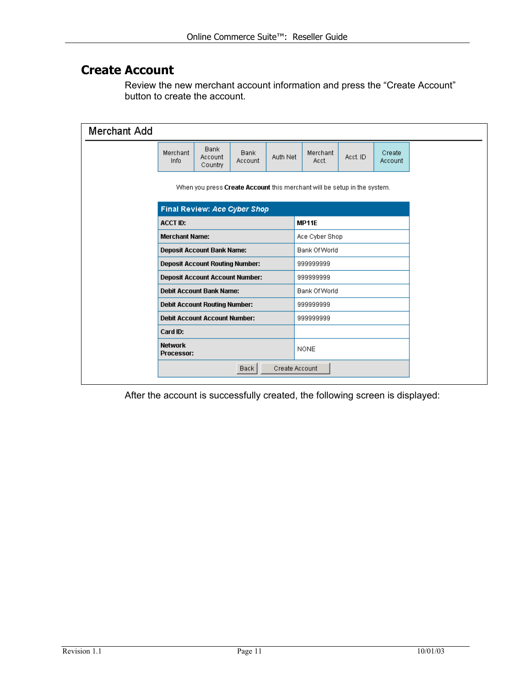#### <span id="page-10-0"></span>**Create Account**

Review the new merchant account information and press the "Create Account" button to create the account.

| Merchant Add                                                             |                                     |                                        |                        |                |                   |          |                   |  |
|--------------------------------------------------------------------------|-------------------------------------|----------------------------------------|------------------------|----------------|-------------------|----------|-------------------|--|
|                                                                          | Merchant<br>Info                    | Bank<br>Account<br>Country             | <b>Bank</b><br>Account | Auth Net       | Merchant<br>Acct. | Acct. ID | Create<br>Account |  |
| When you press Create Account this merchant will be setup in the system. |                                     |                                        |                        |                |                   |          |                   |  |
| Final Review: Ace Cyber Shop                                             |                                     |                                        |                        |                |                   |          |                   |  |
|                                                                          | <b>ACCT ID:</b>                     |                                        |                        | MP11E          |                   |          |                   |  |
|                                                                          | <b>Merchant Name:</b>               |                                        |                        |                | Ace Cyber Shop    |          |                   |  |
|                                                                          | <b>Deposit Account Bank Name:</b>   |                                        |                        |                | Bank Of World     |          |                   |  |
|                                                                          |                                     | <b>Deposit Account Routing Number:</b> |                        |                | 999999999         |          |                   |  |
|                                                                          |                                     | <b>Deposit Account Account Number:</b> |                        |                | 999999999         |          |                   |  |
|                                                                          |                                     | <b>Debit Account Bank Name:</b>        |                        |                | Bank Of World     |          |                   |  |
|                                                                          |                                     | <b>Debit Account Routing Number:</b>   |                        |                | 999999999         |          |                   |  |
|                                                                          |                                     | <b>Debit Account Account Number:</b>   |                        |                | 999999999         |          |                   |  |
|                                                                          | Card ID:                            |                                        |                        |                |                   |          |                   |  |
|                                                                          | <b>Network</b><br><b>Processor:</b> |                                        |                        |                | <b>NONE</b>       |          |                   |  |
|                                                                          |                                     |                                        | <b>Back</b>            | Create Account |                   |          |                   |  |

After the account is successfully created, the following screen is displayed: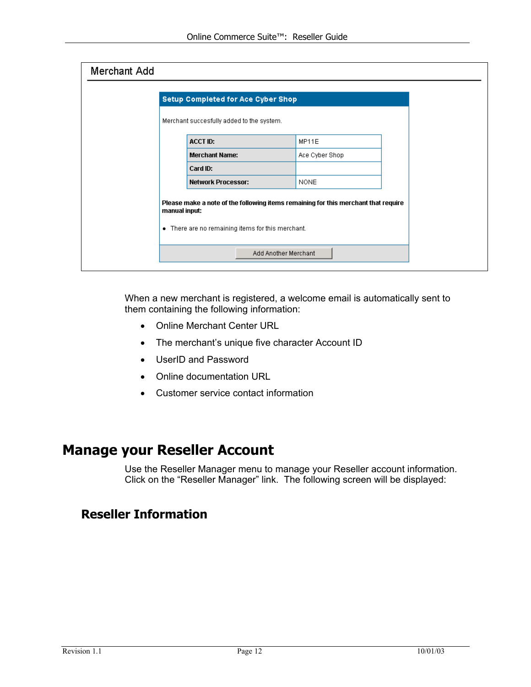<span id="page-11-0"></span>

| Merchant Add |                                                                                                                                                          |                      |  |
|--------------|----------------------------------------------------------------------------------------------------------------------------------------------------------|----------------------|--|
|              | <b>Setup Completed for Ace Cyber Shop</b>                                                                                                                |                      |  |
|              | Merchant succesfully added to the system.                                                                                                                |                      |  |
|              | <b>ACCT ID:</b>                                                                                                                                          | MP11E                |  |
|              | <b>Merchant Name:</b>                                                                                                                                    | Ace Cyber Shop       |  |
|              | Card ID:                                                                                                                                                 |                      |  |
|              | <b>Network Processor:</b>                                                                                                                                | <b>NONE</b>          |  |
|              | Please make a note of the following items remaining for this merchant that require<br>manual input:<br>• There are no remaining items for this merchant. |                      |  |
|              |                                                                                                                                                          | Add Another Merchant |  |

When a new merchant is registered, a welcome email is automatically sent to them containing the following information:

- Online Merchant Center URL
- The merchant's unique five character Account ID
- UserID and Password
- Online documentation URL
- Customer service contact information

## **Manage your Reseller Account**

Use the Reseller Manager menu to manage your Reseller account information. Click on the "Reseller Manager" link. The following screen will be displayed:

### **Reseller Information**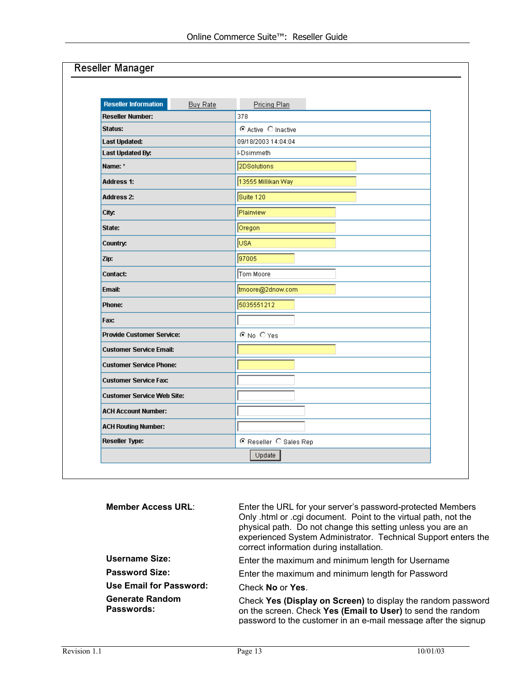| <b>Reseller Information</b>       | <b>Buy Rate</b> | Pricing Plan           |
|-----------------------------------|-----------------|------------------------|
| <b>Reseller Number:</b>           |                 | 378                    |
| Status:                           |                 | C Active C Inactive    |
| <b>Last Updated:</b>              |                 | 09/18/2003 14:04:04    |
| Last Updated By:                  |                 | I-Dsimmeth             |
| Name: *                           |                 | 2DSolutions            |
| <b>Address 1:</b>                 |                 | 13555 Millikan Way     |
| <b>Address 2:</b>                 |                 | Suite 120              |
| City:                             |                 | Plainview              |
| State:                            |                 | Oregon                 |
| Country:                          |                 | USA <sup></sup>        |
| Zip:                              |                 | 97005                  |
| Contact:                          |                 | Tom Moore              |
| Email:                            |                 | tmoore@2dnow.com       |
| Phone:                            |                 | 5035551212             |
| Fax:                              |                 |                        |
| <b>Provide Customer Service:</b>  |                 | C No C Yes             |
| <b>Customer Service Email:</b>    |                 |                        |
| <b>Customer Service Phone:</b>    |                 |                        |
| <b>Customer Service Fax:</b>      |                 |                        |
| <b>Customer Service Web Site:</b> |                 |                        |
| <b>ACH Account Number:</b>        |                 |                        |
| <b>ACH Routing Number:</b>        |                 |                        |
| <b>Reseller Type:</b>             |                 | C Reseller C Sales Rep |

| <b>Member Access URL:</b>            | Enter the URL for your server's password-protected Members<br>Only .html or .cgi document. Point to the virtual path, not the<br>physical path. Do not change this setting unless you are an<br>experienced System Administrator. Technical Support enters the<br>correct information during installation. |
|--------------------------------------|------------------------------------------------------------------------------------------------------------------------------------------------------------------------------------------------------------------------------------------------------------------------------------------------------------|
| Username Size:                       | Enter the maximum and minimum length for Username                                                                                                                                                                                                                                                          |
| <b>Password Size:</b>                | Enter the maximum and minimum length for Password                                                                                                                                                                                                                                                          |
| <b>Use Email for Password:</b>       | Check No or Yes.                                                                                                                                                                                                                                                                                           |
| <b>Generate Random</b><br>Passwords: | Check Yes (Display on Screen) to display the random password<br>on the screen. Check Yes (Email to User) to send the random<br>password to the customer in an e-mail message after the signup                                                                                                              |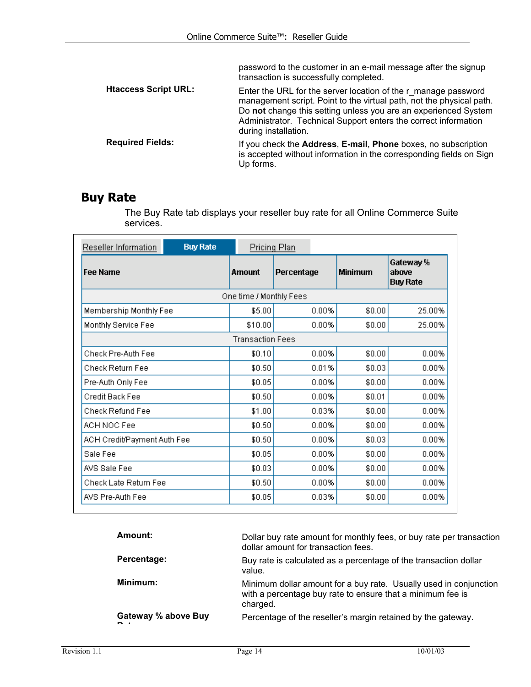<span id="page-13-0"></span>

|                             | password to the customer in an e-mail message after the signup<br>transaction is successfully completed.                                                                                                                                                                                             |
|-----------------------------|------------------------------------------------------------------------------------------------------------------------------------------------------------------------------------------------------------------------------------------------------------------------------------------------------|
| <b>Htaccess Script URL:</b> | Enter the URL for the server location of the r manage password<br>management script. Point to the virtual path, not the physical path.<br>Do not change this setting unless you are an experienced System<br>Administrator. Technical Support enters the correct information<br>during installation. |
| <b>Required Fields:</b>     | If you check the <b>Address</b> , <b>E-mail</b> , <b>Phone</b> boxes, no subscription<br>is accepted without information in the corresponding fields on Sign<br>Up forms.                                                                                                                            |

## **Buy Rate**

The Buy Rate tab displays your reseller buy rate for all Online Commerce Suite services.

| <b>Buy Rate</b><br>Reseller Information | <b>Pricing Plan</b>     |            |                |                                       |
|-----------------------------------------|-------------------------|------------|----------------|---------------------------------------|
| <b>Fee Name</b>                         | Amount                  | Percentage | <b>Minimum</b> | Gateway %<br>above<br><b>Buy Rate</b> |
|                                         | One time / Monthly Fees |            |                |                                       |
| Membership Monthly Fee                  | \$5.00                  | 0.00%      | \$0.00         | 25.00%                                |
| Monthly Service Fee                     | \$10.00                 | $0.00\%$   | \$0.00         | 25.00%                                |
|                                         | <b>Transaction Fees</b> |            |                |                                       |
| Check Pre-Auth Fee                      | \$0.10                  | $0.00\%$   | \$0.00         | 0.00%                                 |
| Check Return Fee                        | \$0.50                  | 0.01%      | \$0.03         | $0.00\%$                              |
| Pre-Auth Only Fee                       | \$0.05                  | $0.00\%$   | \$0.00         | 0.00%                                 |
| Credit Back Fee                         | \$0.50                  | $0.00\%$   | \$0.01         | 0.00%                                 |
| Check Refund Fee                        | \$1.00                  | 0.03%      | \$0.00         | 0.00%                                 |
| ACH NOC Fee                             | \$0.50                  | 0.00%      | \$0.00         | 0.00%                                 |
| ACH Credit/Payment Auth Fee             | \$0.50                  | 0.00%      | \$0.03         | 0.00%                                 |
| Sale Fee                                | \$0.05                  | 0.00%      | \$0.00         | 0.00%                                 |
| AVS Sale Fee                            | \$0.03                  | 0.00%      | \$0.00         | 0.00%                                 |
| Check Late Return Fee                   | \$0.50                  | 0.00%      | \$0.00         | 0.00%                                 |
| AVS Pre-Auth Fee                        | \$0.05                  | 0.03%      | \$0.00         | 0.00%                                 |

| Amount:             | Dollar buy rate amount for monthly fees, or buy rate per transaction<br>dollar amount for transaction fees.                                 |
|---------------------|---------------------------------------------------------------------------------------------------------------------------------------------|
| Percentage:         | Buy rate is calculated as a percentage of the transaction dollar<br>value.                                                                  |
| Minimum:            | Minimum dollar amount for a buy rate. Usually used in conjunction<br>with a percentage buy rate to ensure that a minimum fee is<br>charged. |
| Gateway % above Buy | Percentage of the reseller's margin retained by the gateway.                                                                                |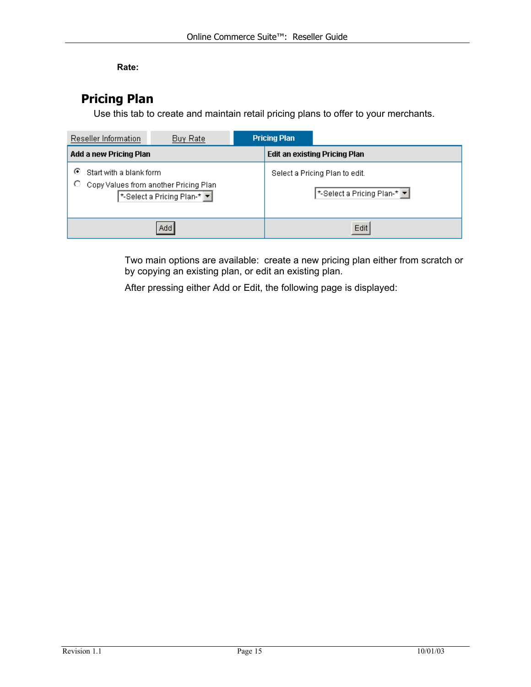#### **Rate:**

### <span id="page-14-0"></span>**Pricing Plan**

Use this tab to create and maintain retail pricing plans to offer to your merchants.

| Reseller Information              | Buy Rate                                                             |  | <b>Pricing Plan</b>           |                                                                                  |  |
|-----------------------------------|----------------------------------------------------------------------|--|-------------------------------|----------------------------------------------------------------------------------|--|
| Add a new Pricing Plan            |                                                                      |  | Edit an existing Pricing Plan |                                                                                  |  |
| ⊙<br>Start with a blank form<br>O | Copy Values from another Pricing Plan<br>*-Select a Pricing Plan-* T |  |                               | Select a Pricing Plan to edit.<br>*-Select a Pricing Plan-* $\blacktriangledown$ |  |
|                                   | Add                                                                  |  |                               | Edit                                                                             |  |

Two main options are available: create a new pricing plan either from scratch or by copying an existing plan, or edit an existing plan.

After pressing either Add or Edit, the following page is displayed: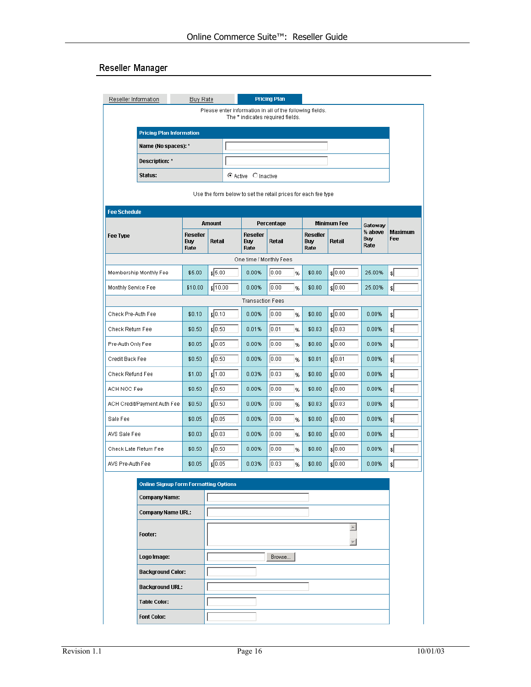#### Reseller Manager

| Reseller Information  |                                              | Buy Rate                       |               |                                       | <b>Pricing Plan</b>                                                                          |                                       |                    |                               |                        |
|-----------------------|----------------------------------------------|--------------------------------|---------------|---------------------------------------|----------------------------------------------------------------------------------------------|---------------------------------------|--------------------|-------------------------------|------------------------|
|                       |                                              |                                |               |                                       | Please enter information in all of the following fields.<br>The * indicates required fields. |                                       |                    |                               |                        |
|                       | <b>Pricing Plan Information</b>              |                                |               |                                       |                                                                                              |                                       |                    |                               |                        |
|                       | Name (No spaces): *                          |                                |               |                                       |                                                                                              |                                       |                    |                               |                        |
|                       | <b>Description: *</b>                        |                                |               |                                       |                                                                                              |                                       |                    |                               |                        |
|                       | Status:                                      |                                |               | C Active C Inactive                   |                                                                                              |                                       |                    |                               |                        |
|                       |                                              |                                |               |                                       | Use the form below to set the retail prices for each fee type                                |                                       |                    |                               |                        |
| <b>Fee Schedule</b>   |                                              |                                |               |                                       |                                                                                              |                                       |                    |                               |                        |
|                       |                                              |                                | <b>Amount</b> |                                       | Percentage                                                                                   |                                       | <b>Minimum Fee</b> | Gateway                       |                        |
| Fee Type              |                                              | <b>Reseller</b><br>Buy<br>Rate | Retail        | <b>Reseller</b><br><b>Buy</b><br>Rate | Retail                                                                                       | <b>Reseller</b><br><b>Buy</b><br>Rate | Retail             | % above<br><b>Buy</b><br>Rate | Maximum<br>Fee         |
|                       |                                              |                                |               |                                       | One time / Monthly Fees                                                                      |                                       |                    |                               |                        |
|                       | Membership Monthly Fee                       | \$5.00                         | \$5.00        | 0.00%                                 | 0.00 <br>%                                                                                   | \$0.00                                | \$0.00             | 25.00%                        | $\left  \cdot \right $ |
| Monthly Service Fee   |                                              | \$10.00                        | \$10.00       | 0.00%                                 | 0.00 <br>%                                                                                   | \$0.00                                | \$0.00             | 25.00%                        | $\mathbf{s}$           |
|                       |                                              |                                |               | <b>Transaction Fees</b>               |                                                                                              |                                       |                    |                               |                        |
| Check Pre-Auth Fee    |                                              | \$0.10                         | \$0.10        | 0.00%                                 | 0.00 <br>%                                                                                   | \$0.00                                | \$ 0.00            | 0.00%                         | $\mathbf{E}$           |
| Check Return Fee      |                                              | \$0.50                         | $\sqrt{0.50}$ | 0.01%                                 | 0.01<br>%                                                                                    | \$0.03                                | \$ 0.03            | 0.00%                         | $\mathfrak{s}$         |
| Pre-Auth Only Fee     |                                              | \$0.05                         | $\sqrt{0.05}$ | 0.00%                                 | 0.00 <br>%                                                                                   | \$0.00                                | \$ 0.00            | 0.00%                         | $\mathfrak{s}$         |
| Credit Back Fee       |                                              | \$0.50                         | \$0.50        | 0.00%                                 | 0.00<br>%                                                                                    | \$0.01                                | $\frac{1}{2}$ 0.01 | 0.00%                         | $\mathcal{L}$          |
| Check Refund Fee      |                                              | \$1.00                         | \$1.00        | 0.03%                                 | 0.03<br>%                                                                                    | \$0.00                                | \$ 0.00            | 0.00%                         | $\left  \cdot \right $ |
| ACH NOC Fee           |                                              | \$0.50                         | \$0.50        | 0.00%                                 | 0.00<br>%                                                                                    | \$0.00                                | $\frac{1}{2}$ 0.00 | 0.00%                         | $\mathcal{E}$          |
|                       | ACH Credit/Payment Auth Fee                  | \$0.50                         | $\sqrt{0.50}$ | 0.00%                                 | 0.00<br>%                                                                                    | \$0.03                                | $\sqrt{0.03}$      | 0.00%                         | $\mathbf{E}$           |
| Sale Fee              |                                              | \$0.05                         | \$0.05        | 0.00%                                 | 0.00 <br>%                                                                                   | \$0.00                                | $\sqrt{0.00}$      | 0.00%                         | $\left  \cdot \right $ |
| AVS Sale Fee          |                                              | \$0.03                         | \$0.03        | 0.00%                                 | 0.00 <br>%                                                                                   | \$0.00                                | \$0.00             | 0.00%                         | $\left  \cdot \right $ |
| Check Late Return Fee |                                              | \$0.50                         | $\sqrt{0.50}$ | $0.00\%$                              | 0.00 <br>%                                                                                   | \$0.00                                | $\frac{1}{2}$ 0.00 | $0.00\%$                      | $\left  \cdot \right $ |
| AVS Pre-Auth Fee      |                                              | \$0.05                         | \$ 0.05       | 0.03%                                 | 0.03 <br>%                                                                                   | \$0.00                                | $\frac{1}{2}$ 0.00 | 0.00%                         | $\mathbf{s}$           |
|                       | <b>Online Signup Form Formatting Options</b> |                                |               |                                       |                                                                                              |                                       |                    |                               |                        |
|                       | <b>Company Name:</b>                         |                                |               |                                       |                                                                                              |                                       |                    |                               |                        |
|                       | <b>Company Name URL:</b>                     |                                |               |                                       |                                                                                              |                                       |                    |                               |                        |
|                       |                                              |                                |               |                                       |                                                                                              |                                       | $\blacktriangle$   |                               |                        |
|                       | Footer:                                      |                                |               |                                       |                                                                                              |                                       |                    |                               |                        |
|                       | Logo Image:                                  |                                |               |                                       | Browse                                                                                       |                                       |                    |                               |                        |
|                       | <b>Background Color:</b>                     |                                |               |                                       |                                                                                              |                                       |                    |                               |                        |
|                       | <b>Background URL:</b>                       |                                |               |                                       |                                                                                              |                                       |                    |                               |                        |
|                       | <b>Table Color:</b>                          |                                |               |                                       |                                                                                              |                                       |                    |                               |                        |
|                       | <b>Font Color:</b>                           |                                |               |                                       |                                                                                              |                                       |                    |                               |                        |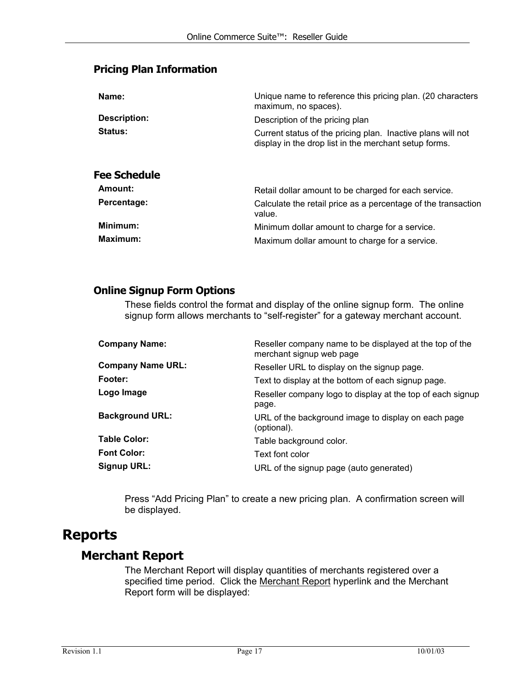#### <span id="page-16-0"></span>**Pricing Plan Information**

| Name:                          | Unique name to reference this pricing plan. (20 characters<br>maximum, no spaces).                                   |
|--------------------------------|----------------------------------------------------------------------------------------------------------------------|
| <b>Description:</b>            | Description of the pricing plan                                                                                      |
| Status:                        | Current status of the pricing plan. Inactive plans will not<br>display in the drop list in the merchant setup forms. |
| <b>Fee Schedule</b><br>Amount: | Retail dollar amount to be charged for each service.                                                                 |
| Percentage:                    | Calculate the retail price as a percentage of the transaction<br>value.                                              |
| Minimum:                       | Minimum dollar amount to charge for a service.                                                                       |
| Maximum:                       | Maximum dollar amount to charge for a service.                                                                       |

#### **Online Signup Form Options**

These fields control the format and display of the online signup form. The online signup form allows merchants to "self-register" for a gateway merchant account.

| <b>Company Name:</b>     | Reseller company name to be displayed at the top of the<br>merchant signup web page |
|--------------------------|-------------------------------------------------------------------------------------|
| <b>Company Name URL:</b> | Reseller URL to display on the signup page.                                         |
| Footer:                  | Text to display at the bottom of each signup page.                                  |
| Logo Image               | Reseller company logo to display at the top of each signup<br>page.                 |
| <b>Background URL:</b>   | URL of the background image to display on each page<br>(optional).                  |
| <b>Table Color:</b>      | Table background color.                                                             |
| <b>Font Color:</b>       | Text font color                                                                     |
| <b>Signup URL:</b>       | URL of the signup page (auto generated)                                             |

Press "Add Pricing Plan" to create a new pricing plan. A confirmation screen will be displayed.

### **Reports**

#### **Merchant Report**

The Merchant Report will display quantities of merchants registered over a specified time period. Click the Merchant Report hyperlink and the Merchant Report form will be displayed: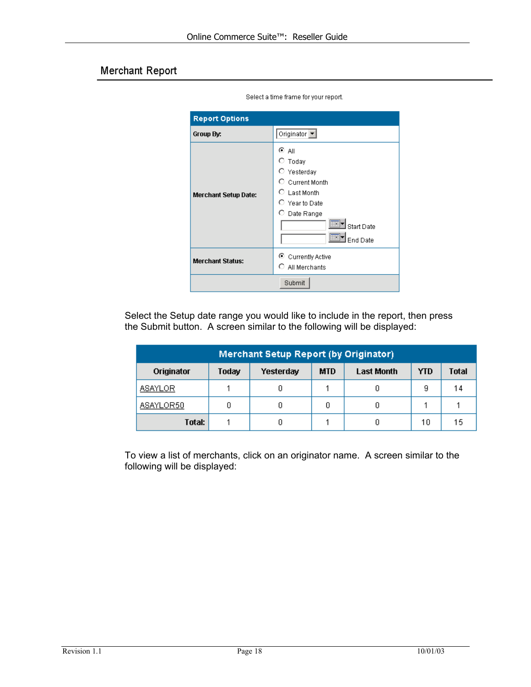#### Merchant Report

| <b>Report Options</b>       |                                                                                                                                               |
|-----------------------------|-----------------------------------------------------------------------------------------------------------------------------------------------|
| Group By:                   | Originator -                                                                                                                                  |
| <b>Merchant Setup Date:</b> | ⊙ Α⊪<br>О.<br>Today<br>O Yesterday<br>C Current Month<br>$\circ$ Last Month<br>$\circ$ Year to Date<br>C Date Range<br>Start Date<br>End Date |
| <b>Merchant Status:</b>     | C Currently Active<br>0.<br>All Merchants                                                                                                     |
|                             | Submit                                                                                                                                        |

Select a time frame for your report.

Select the Setup date range you would like to include in the report, then press the Submit button. A screen similar to the following will be displayed:

| Merchant Setup Report (by Originator), |       |           |            |                   |            |              |
|----------------------------------------|-------|-----------|------------|-------------------|------------|--------------|
| Originator                             | Today | Yesterday | <b>MTD</b> | <b>Last Month</b> | <b>YTD</b> | <b>Total</b> |
| ASAYLOR                                |       |           |            |                   | 9          | 14           |
| ASAYLOR50                              | 0     |           | 0          |                   |            |              |
| Total:                                 |       |           |            |                   | 10         | 15           |

To view a list of merchants, click on an originator name. A screen similar to the following will be displayed: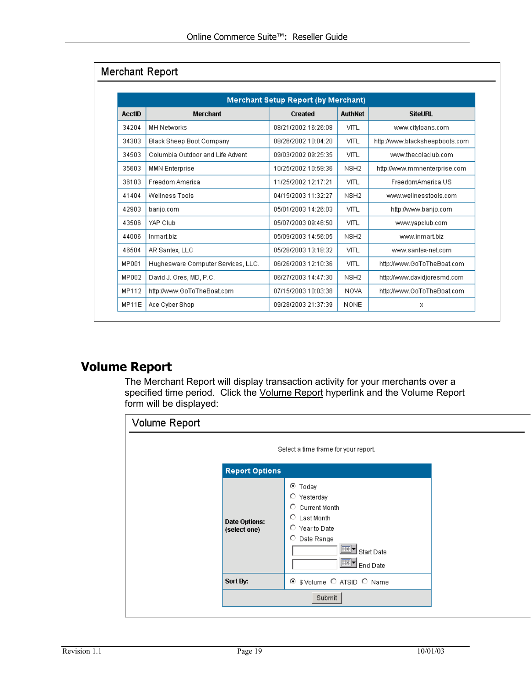<span id="page-18-0"></span>

| <b>Merchant Setup Report (by Merchant)</b> |                                    |                     |                  |                                |  |  |
|--------------------------------------------|------------------------------------|---------------------|------------------|--------------------------------|--|--|
| <b>AcctID</b>                              | <b>Merchant</b>                    | Created             | <b>AuthNet</b>   | <b>SiteURL</b>                 |  |  |
| 34204                                      | <b>MH Networks</b>                 | 08/21/2002 16:26:08 | <b>VITL</b>      | www.cityloans.com              |  |  |
| 34303                                      | Black Sheep Boot Company           | 08/26/2002 10:04:20 | VITL             | http://www.blacksheepboots.com |  |  |
| 34503                                      | Columbia Outdoor and Life Advent   | 09/03/2002 09:25:35 | VITL             | www.thecolaclub.com            |  |  |
| 35603                                      | <b>MMN Enterprise</b>              | 10/25/2002 10:59:36 | NSH <sub>2</sub> | http://www.mmnenterprise.com   |  |  |
| 36103                                      | Freedom America                    | 11/25/2002 12:17:21 | VITL             | FreedomAmerica.US              |  |  |
| 41404                                      | Wellness Tools                     | 04/15/2003 11:32:27 | NSH <sub>2</sub> | www.wellnesstools.com          |  |  |
| 42903                                      | banjo.com                          | 05/01/2003 14:26:03 | VITL             | http://www.banjo.com           |  |  |
| 43506                                      | YAP Club                           | 05/07/2003 09:46:50 | VITL             | www.yapclub.com                |  |  |
| 44006                                      | Inmart.biz                         | 05/09/2003 14:56:05 | NSH <sub>2</sub> | www.inmart.biz                 |  |  |
| 46504                                      | AR Santex, LLC                     | 05/28/2003 13:18:32 | VITL             | www.santex-net.com             |  |  |
| MP001                                      | Hughesware Computer Services, LLC. | 06/26/2003 12:10:36 | VITL             | http://www.GoToTheBoat.com     |  |  |
| MP002                                      | David J. Ores, MD, P.C.            | 06/27/2003 14:47:30 | NSH <sub>2</sub> | http://www.davidjoresmd.com    |  |  |
| MP112                                      | http://www.GoToTheBoat.com         | 07/15/2003 10:03:38 | <b>NOVA</b>      | http://www.GoToTheBoat.com     |  |  |
| MP11E                                      | Ace Cyber Shop                     | 09/28/2003 21:37:39 | <b>NONE</b>      | х                              |  |  |

## **Volume Report**

The Merchant Report will display transaction activity for your merchants over a specified time period. Click the Volume Report hyperlink and the Volume Report form will be displayed:

| Volume Report |                                      |                                                                                                                                                      |
|---------------|--------------------------------------|------------------------------------------------------------------------------------------------------------------------------------------------------|
|               |                                      | Select a time frame for your report.                                                                                                                 |
|               | <b>Report Options</b>                |                                                                                                                                                      |
|               | <b>Date Options:</b><br>(select one) | ⊙ Today<br>О.<br>Yesterday<br>О.<br>Current Month<br>$\circ$ Last Month<br>$\circ$ Year to Date<br>O.<br>Date Range<br><b>Start Date</b><br>End Date |
| Sort By:      |                                      | \$ Volume C ATSID C Name<br>⊙                                                                                                                        |
|               |                                      | Submit                                                                                                                                               |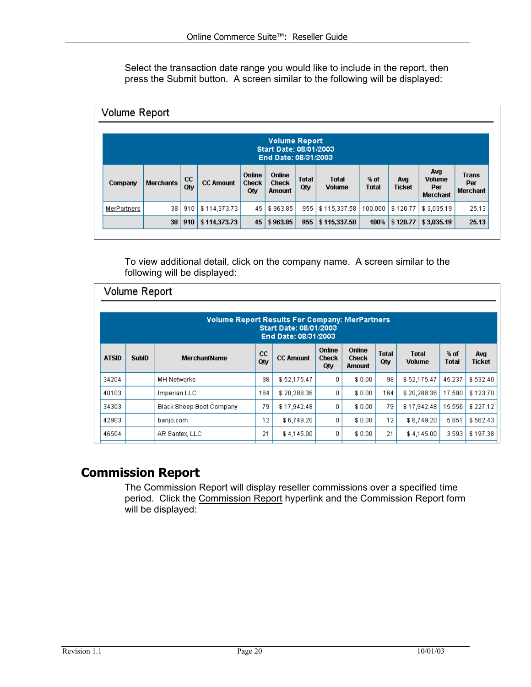<span id="page-19-0"></span>Select the transaction date range you would like to include in the report, then press the Submit button. A screen similar to the following will be displayed:

| <b>Volume Report</b>                                                   |                  |           |                  |                               |                                  |                     |                               |                        |               |                                                |                                        |
|------------------------------------------------------------------------|------------------|-----------|------------------|-------------------------------|----------------------------------|---------------------|-------------------------------|------------------------|---------------|------------------------------------------------|----------------------------------------|
| <b>Volume Report</b><br>Start Date: 08/01/2003<br>End Date: 08/31/2003 |                  |           |                  |                               |                                  |                     |                               |                        |               |                                                |                                        |
| Company                                                                | <b>Merchants</b> | cc<br>Qtv | <b>CC Amount</b> | <b>Online</b><br>Check<br>0ty | Online<br><b>Check</b><br>Amount | <b>Total</b><br>Qtv | <b>Total</b><br><b>Volume</b> | $%$ of<br><b>Total</b> | Avg<br>Ticket | Avg<br><b>Volume</b><br>Per<br><b>Merchant</b> | <b>Trans</b><br>Per<br><b>Merchant</b> |
| MerPartners                                                            | 38               | 910       | \$114,373.73     | 45                            | \$963.85                         | 955                 | \$115,337.58                  | 100.000                | \$120.77      | \$3,035.19                                     | 25.13                                  |
|                                                                        | 38               | 910       | \$114,373.73     | 45                            | \$963.85                         | 955                 | \$115,337.58                  | 100%                   | \$120.77      | \$3,035.19                                     | 25.13                                  |

To view additional detail, click on the company name. A screen similar to the following will be displayed:

|                                                                                                         | Volume Report |                          |           |                  |                               |                                         |                     |                               |                      |                      |
|---------------------------------------------------------------------------------------------------------|---------------|--------------------------|-----------|------------------|-------------------------------|-----------------------------------------|---------------------|-------------------------------|----------------------|----------------------|
| <b>Volume Report Results For Company: MerPartners</b><br>Start Date: 08/01/2003<br>End Date: 08/31/2003 |               |                          |           |                  |                               |                                         |                     |                               |                      |                      |
| <b>ATSID</b>                                                                                            | <b>SubID</b>  | <b>MerchantName</b>      | cc<br>Qtv | <b>CC Amount</b> | Online<br><b>Check</b><br>Qtv | Online<br><b>Check</b><br><b>Amount</b> | <b>Total</b><br>Qtv | <b>Total</b><br><b>Volume</b> | % of<br><b>Total</b> | Avg<br><b>Ticket</b> |
| 34204                                                                                                   |               | MH Networks              | 98        | \$52,175.47      | 0                             | \$0.00                                  | 98                  | \$52,175.47                   | 45.237               | \$532.40             |
| 40103                                                                                                   |               | Imperian LLC             | 164       | \$20,288.36      | 0                             | \$0.00                                  | 164                 | \$20,288.36                   | 17.590               | \$123.70             |
| 34303                                                                                                   |               | Black Sheep Boot Company | 79        | \$17,942.48      | 0                             | \$0.00                                  | 79                  | \$17,942.48                   | 15.556               | \$227.12             |
| 42903                                                                                                   |               | banjo.com                | 12        | \$6,749.20       | 0                             | \$0.00                                  | 12                  | \$6,749.20                    | 5.851                | \$562.43             |
| 46504                                                                                                   |               | AR Santex, LLC           | 21        | \$4,145.00       | 0                             | \$0.00                                  | 21                  | \$4,145.00                    | 3.593                | \$197.38             |

### **Commission Report**

The Commission Report will display reseller commissions over a specified time period. Click the Commission Report hyperlink and the Commission Report form will be displayed: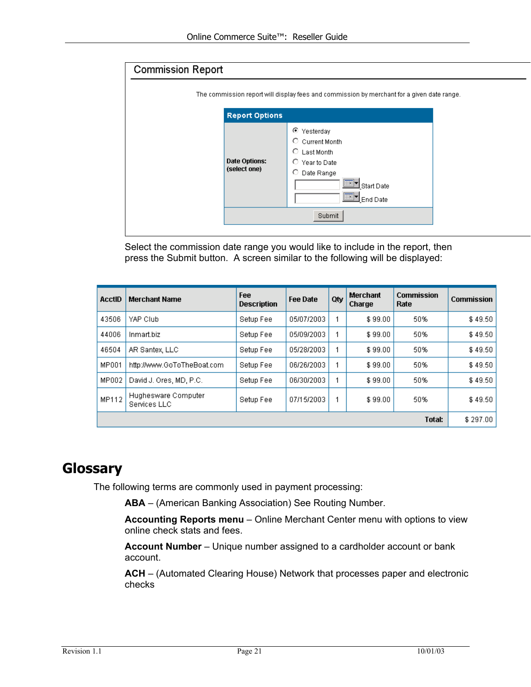<span id="page-20-0"></span>

| <b>Commission Report</b> |                                      |                                                                                                                          |  |  |  |  |  |
|--------------------------|--------------------------------------|--------------------------------------------------------------------------------------------------------------------------|--|--|--|--|--|
|                          |                                      | The commission report will display fees and commission by merchant for a given date range.                               |  |  |  |  |  |
|                          | <b>Report Options</b>                |                                                                                                                          |  |  |  |  |  |
|                          | <b>Date Options:</b><br>(select one) | ⊙<br>Yesterday<br>C Current Month<br>$\circ$ Last Month<br>C Year to Date<br>O<br>Date Range<br>Start Date<br>l End Date |  |  |  |  |  |
|                          |                                      | Submit                                                                                                                   |  |  |  |  |  |

Select the commission date range you would like to include in the report, then press the Submit button. A screen similar to the following will be displayed:

| AcctID | <b>Merchant Name</b>                | Fee<br><b>Description</b> | <b>Fee Date</b> | Qty | Merchant<br>Charge | <b>Commission</b><br>Rate | <b>Commission</b> |
|--------|-------------------------------------|---------------------------|-----------------|-----|--------------------|---------------------------|-------------------|
| 43506  | YAP Club                            | Setup Fee                 | 05/07/2003      |     | \$99.00            | 50%                       | \$49.50           |
| 44006  | Inmart.biz                          | Setup Fee                 | 05/09/2003      |     | \$99.00            | 50%                       | \$49.50           |
| 46504  | AR Santex, LLC                      | Setup Fee                 | 05/28/2003      |     | \$99.00            | 50%                       | \$49.50           |
| MP001  | http://www.GoToTheBoat.com          | Setup Fee                 | 06/26/2003      |     | \$99.00            | 50%                       | \$49.50           |
| MP002  | David J. Ores, MD, P.C.             | Setup Fee                 | 06/30/2003      |     | \$99.00            | 50%                       | \$49.50           |
| MP112  | Hughesware Computer<br>Services LLC | Setup Fee                 | 07/15/2003      |     | \$99.00            | 50%                       | \$49.50           |
|        |                                     |                           |                 |     |                    | <b>Total:</b>             | \$297.00          |

## **Glossary**

The following terms are commonly used in payment processing:

**ABA** – (American Banking Association) See Routing Number.

**Accounting Reports menu** – Online Merchant Center menu with options to view online check stats and fees.

**Account Number** – Unique number assigned to a cardholder account or bank account.

**ACH** – (Automated Clearing House) Network that processes paper and electronic checks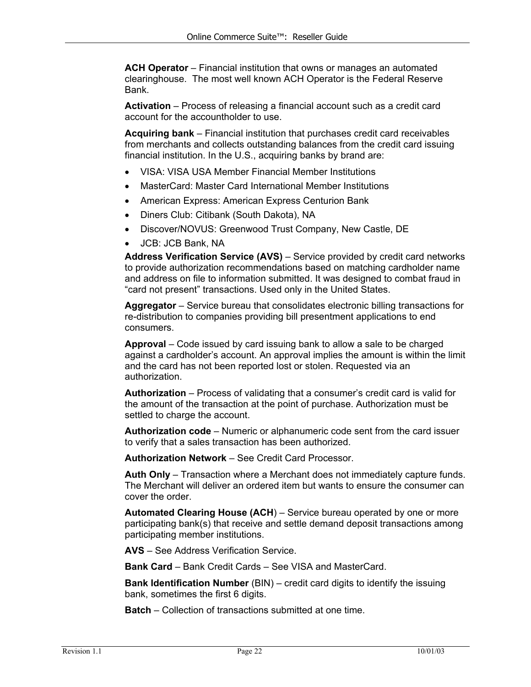**ACH Operator** – Financial institution that owns or manages an automated clearinghouse. The most well known ACH Operator is the Federal Reserve Bank.

**Activation** – Process of releasing a financial account such as a credit card account for the accountholder to use.

**Acquiring bank** – Financial institution that purchases credit card receivables from merchants and collects outstanding balances from the credit card issuing financial institution. In the U.S., acquiring banks by brand are:

- VISA: VISA USA Member Financial Member Institutions
- MasterCard: Master Card International Member Institutions
- American Express: American Express Centurion Bank
- Diners Club: Citibank (South Dakota), NA
- Discover/NOVUS: Greenwood Trust Company, New Castle, DE
- JCB: JCB Bank, NA

Address Verification Service (AVS) - Service provided by credit card networks to provide authorization recommendations based on matching cardholder name and address on file to information submitted. It was designed to combat fraud in "card not present" transactions. Used only in the United States.

**Aggregator** – Service bureau that consolidates electronic billing transactions for re-distribution to companies providing bill presentment applications to end consumers.

**Approval** – Code issued by card issuing bank to allow a sale to be charged against a cardholder's account. An approval implies the amount is within the limit and the card has not been reported lost or stolen. Requested via an authorization.

**Authorization** – Process of validating that a consumer's credit card is valid for the amount of the transaction at the point of purchase. Authorization must be settled to charge the account.

**Authorization code** – Numeric or alphanumeric code sent from the card issuer to verify that a sales transaction has been authorized.

**Authorization Network** – See Credit Card Processor.

**Auth Only** – Transaction where a Merchant does not immediately capture funds. The Merchant will deliver an ordered item but wants to ensure the consumer can cover the order.

**Automated Clearing House (ACH**) – Service bureau operated by one or more participating bank(s) that receive and settle demand deposit transactions among participating member institutions.

**AVS** – See Address Verification Service.

**Bank Card** – Bank Credit Cards – See VISA and MasterCard.

**Bank Identification Number** (BIN) – credit card digits to identify the issuing bank, sometimes the first 6 digits.

**Batch** – Collection of transactions submitted at one time.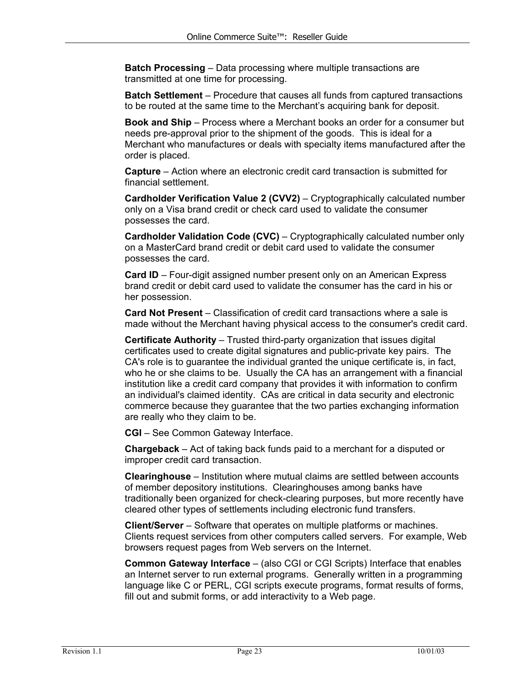**Batch Processing** – Data processing where multiple transactions are transmitted at one time for processing.

**Batch Settlement** – Procedure that causes all funds from captured transactions to be routed at the same time to the Merchant's acquiring bank for deposit.

**Book and Ship** – Process where a Merchant books an order for a consumer but needs pre-approval prior to the shipment of the goods. This is ideal for a Merchant who manufactures or deals with specialty items manufactured after the order is placed.

**Capture** – Action where an electronic credit card transaction is submitted for financial settlement.

**Cardholder Verification Value 2 (CVV2)** – Cryptographically calculated number only on a Visa brand credit or check card used to validate the consumer possesses the card.

**Cardholder Validation Code (CVC)** – Cryptographically calculated number only on a MasterCard brand credit or debit card used to validate the consumer possesses the card.

**Card ID** – Four-digit assigned number present only on an American Express brand credit or debit card used to validate the consumer has the card in his or her possession.

**Card Not Present** – Classification of credit card transactions where a sale is made without the Merchant having physical access to the consumer's credit card.

**Certificate Authority** – Trusted third-party organization that issues digital certificates used to create digital signatures and public-private key pairs. The CA's role is to guarantee the individual granted the unique certificate is, in fact, who he or she claims to be. Usually the CA has an arrangement with a financial institution like a credit card company that provides it with information to confirm an individual's claimed identity. CAs are critical in data security and electronic commerce because they guarantee that the two parties exchanging information are really who they claim to be.

**CGI** – See Common Gateway Interface.

**Chargeback** – Act of taking back funds paid to a merchant for a disputed or improper credit card transaction.

**Clearinghouse** – Institution where mutual claims are settled between accounts of member depository institutions. Clearinghouses among banks have traditionally been organized for check-clearing purposes, but more recently have cleared other types of settlements including electronic fund transfers.

**Client/Server** – Software that operates on multiple platforms or machines. Clients request services from other computers called servers. For example, Web browsers request pages from Web servers on the Internet.

**Common Gateway Interface** – (also CGI or CGI Scripts) Interface that enables an Internet server to run external programs. Generally written in a programming language like C or PERL, CGI scripts execute programs, format results of forms, fill out and submit forms, or add interactivity to a Web page.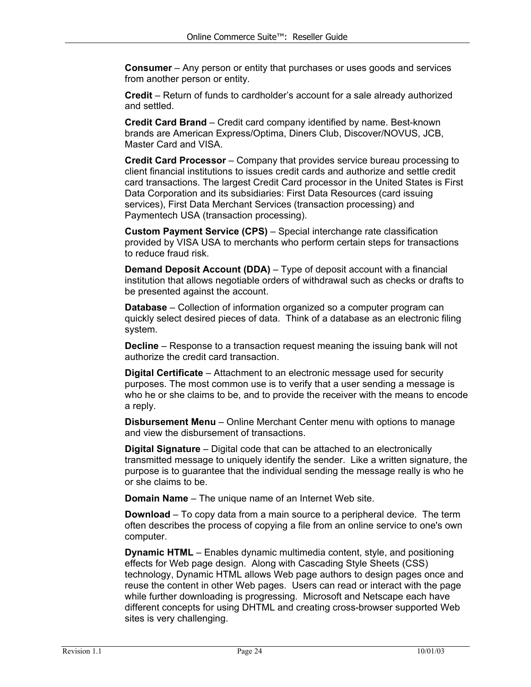**Consumer** – Any person or entity that purchases or uses goods and services from another person or entity.

**Credit** – Return of funds to cardholder's account for a sale already authorized and settled.

**Credit Card Brand** – Credit card company identified by name. Best-known brands are American Express/Optima, Diners Club, Discover/NOVUS, JCB, Master Card and VISA.

**Credit Card Processor** – Company that provides service bureau processing to client financial institutions to issues credit cards and authorize and settle credit card transactions. The largest Credit Card processor in the United States is First Data Corporation and its subsidiaries: First Data Resources (card issuing services), First Data Merchant Services (transaction processing) and Paymentech USA (transaction processing).

**Custom Payment Service (CPS)** – Special interchange rate classification provided by VISA USA to merchants who perform certain steps for transactions to reduce fraud risk.

**Demand Deposit Account (DDA)** – Type of deposit account with a financial institution that allows negotiable orders of withdrawal such as checks or drafts to be presented against the account.

**Database** – Collection of information organized so a computer program can quickly select desired pieces of data. Think of a database as an electronic filing system.

**Decline** – Response to a transaction request meaning the issuing bank will not authorize the credit card transaction.

**Digital Certificate** – Attachment to an electronic message used for security purposes. The most common use is to verify that a user sending a message is who he or she claims to be, and to provide the receiver with the means to encode a reply.

**Disbursement Menu** – Online Merchant Center menu with options to manage and view the disbursement of transactions.

**Digital Signature** – Digital code that can be attached to an electronically transmitted message to uniquely identify the sender. Like a written signature, the purpose is to guarantee that the individual sending the message really is who he or she claims to be.

**Domain Name** – The unique name of an Internet Web site.

**Download** – To copy data from a main source to a peripheral device. The term often describes the process of copying a file from an online service to one's own computer.

**Dynamic HTML** – Enables dynamic multimedia content, style, and positioning effects for Web page design. Along with Cascading Style Sheets (CSS) technology, Dynamic HTML allows Web page authors to design pages once and reuse the content in other Web pages. Users can read or interact with the page while further downloading is progressing. Microsoft and Netscape each have different concepts for using DHTML and creating cross-browser supported Web sites is very challenging.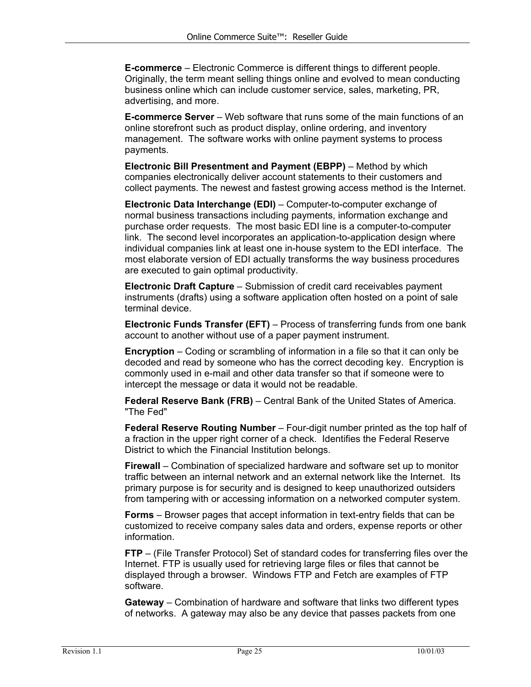**E-commerce** – Electronic Commerce is different things to different people. Originally, the term meant selling things online and evolved to mean conducting business online which can include customer service, sales, marketing, PR, advertising, and more.

**E-commerce Server** – Web software that runs some of the main functions of an online storefront such as product display, online ordering, and inventory management. The software works with online payment systems to process payments.

**Electronic Bill Presentment and Payment (EBPP)** – Method by which companies electronically deliver account statements to their customers and collect payments. The newest and fastest growing access method is the Internet.

**Electronic Data Interchange (EDI)** – Computer-to-computer exchange of normal business transactions including payments, information exchange and purchase order requests. The most basic EDI line is a computer-to-computer link. The second level incorporates an application-to-application design where individual companies link at least one in-house system to the EDI interface. The most elaborate version of EDI actually transforms the way business procedures are executed to gain optimal productivity.

**Electronic Draft Capture** – Submission of credit card receivables payment instruments (drafts) using a software application often hosted on a point of sale terminal device.

**Electronic Funds Transfer (EFT)** – Process of transferring funds from one bank account to another without use of a paper payment instrument.

**Encryption** – Coding or scrambling of information in a file so that it can only be decoded and read by someone who has the correct decoding key. Encryption is commonly used in e-mail and other data transfer so that if someone were to intercept the message or data it would not be readable.

**Federal Reserve Bank (FRB)** – Central Bank of the United States of America. "The Fed"

**Federal Reserve Routing Number** – Four-digit number printed as the top half of a fraction in the upper right corner of a check. Identifies the Federal Reserve District to which the Financial Institution belongs.

**Firewall** – Combination of specialized hardware and software set up to monitor traffic between an internal network and an external network like the Internet. Its primary purpose is for security and is designed to keep unauthorized outsiders from tampering with or accessing information on a networked computer system.

**Forms** – Browser pages that accept information in text-entry fields that can be customized to receive company sales data and orders, expense reports or other information.

**FTP** – (File Transfer Protocol) Set of standard codes for transferring files over the Internet. FTP is usually used for retrieving large files or files that cannot be displayed through a browser. Windows FTP and Fetch are examples of FTP software.

**Gateway** – Combination of hardware and software that links two different types of networks. A gateway may also be any device that passes packets from one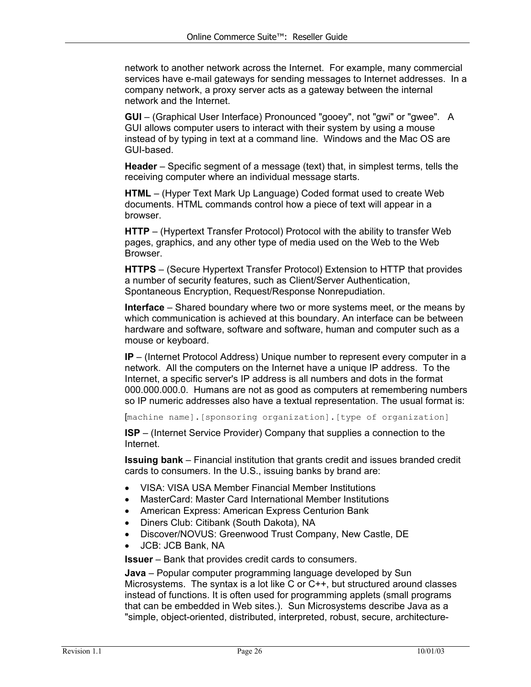network to another network across the Internet. For example, many commercial services have e-mail gateways for sending messages to Internet addresses. In a company network, a proxy server acts as a gateway between the internal network and the Internet.

**GUI** – (Graphical User Interface) Pronounced "gooey", not "gwi" or "gwee". A GUI allows computer users to interact with their system by using a mouse instead of by typing in text at a command line. Windows and the Mac OS are GUI-based.

**Header** – Specific segment of a message (text) that, in simplest terms, tells the receiving computer where an individual message starts.

**HTML** – (Hyper Text Mark Up Language) Coded format used to create Web documents. HTML commands control how a piece of text will appear in a browser.

**HTTP** – (Hypertext Transfer Protocol) Protocol with the ability to transfer Web pages, graphics, and any other type of media used on the Web to the Web Browser.

**HTTPS** – (Secure Hypertext Transfer Protocol) Extension to HTTP that provides a number of security features, such as Client/Server Authentication, Spontaneous Encryption, Request/Response Nonrepudiation.

**Interface** – Shared boundary where two or more systems meet, or the means by which communication is achieved at this boundary. An interface can be between hardware and software, software and software, human and computer such as a mouse or keyboard.

**IP** – (Internet Protocol Address) Unique number to represent every computer in a network. All the computers on the Internet have a unique IP address. To the Internet, a specific server's IP address is all numbers and dots in the format 000.000.000.0. Humans are not as good as computers at remembering numbers so IP numeric addresses also have a textual representation. The usual format is:

[machine name].[sponsoring organization].[type of organization]

**ISP** – (Internet Service Provider) Company that supplies a connection to the Internet.

**Issuing bank** – Financial institution that grants credit and issues branded credit cards to consumers. In the U.S., issuing banks by brand are:

- VISA: VISA USA Member Financial Member Institutions
- MasterCard: Master Card International Member Institutions
- American Express: American Express Centurion Bank
- Diners Club: Citibank (South Dakota), NA
- Discover/NOVUS: Greenwood Trust Company, New Castle, DE
- JCB: JCB Bank, NA

**Issuer** – Bank that provides credit cards to consumers.

**Java** – Popular computer programming language developed by Sun Microsystems. The syntax is a lot like C or C++, but structured around classes instead of functions. It is often used for programming applets (small programs that can be embedded in Web sites.). Sun Microsystems describe Java as a "simple, object-oriented, distributed, interpreted, robust, secure, architecture-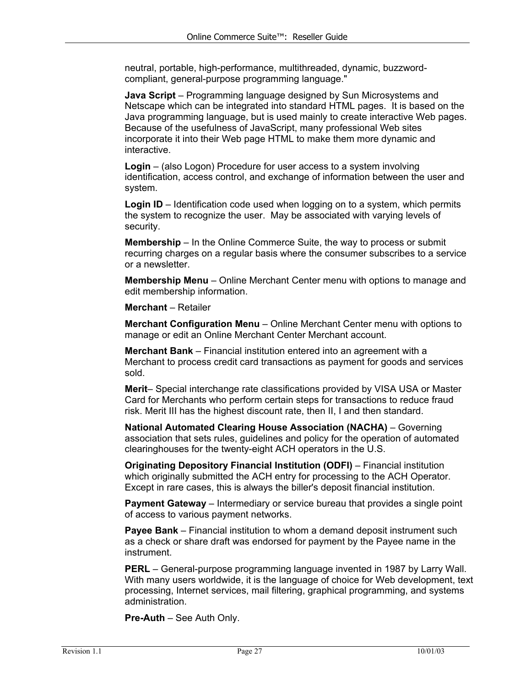neutral, portable, high-performance, multithreaded, dynamic, buzzwordcompliant, general-purpose programming language."

**Java Script** – Programming language designed by Sun Microsystems and Netscape which can be integrated into standard HTML pages. It is based on the Java programming language, but is used mainly to create interactive Web pages. Because of the usefulness of JavaScript, many professional Web sites incorporate it into their Web page HTML to make them more dynamic and interactive.

**Login** – (also Logon) Procedure for user access to a system involving identification, access control, and exchange of information between the user and system.

**Login ID** – Identification code used when logging on to a system, which permits the system to recognize the user. May be associated with varying levels of security.

**Membership** – In the Online Commerce Suite, the way to process or submit recurring charges on a regular basis where the consumer subscribes to a service or a newsletter.

**Membership Menu** – Online Merchant Center menu with options to manage and edit membership information.

**Merchant** – Retailer

**Merchant Configuration Menu** – Online Merchant Center menu with options to manage or edit an Online Merchant Center Merchant account.

**Merchant Bank** – Financial institution entered into an agreement with a Merchant to process credit card transactions as payment for goods and services sold.

**Merit**– Special interchange rate classifications provided by VISA USA or Master Card for Merchants who perform certain steps for transactions to reduce fraud risk. Merit III has the highest discount rate, then II, I and then standard.

**National Automated Clearing House Association (NACHA)** – Governing association that sets rules, guidelines and policy for the operation of automated clearinghouses for the twenty-eight ACH operators in the U.S.

**Originating Depository Financial Institution (ODFI)** – Financial institution which originally submitted the ACH entry for processing to the ACH Operator. Except in rare cases, this is always the biller's deposit financial institution.

**Payment Gateway** – Intermediary or service bureau that provides a single point of access to various payment networks.

**Payee Bank** – Financial institution to whom a demand deposit instrument such as a check or share draft was endorsed for payment by the Payee name in the instrument.

**PERL** – General-purpose programming language invented in 1987 by Larry Wall. With many users worldwide, it is the language of choice for Web development, text processing, Internet services, mail filtering, graphical programming, and systems administration.

**Pre-Auth** – See Auth Only.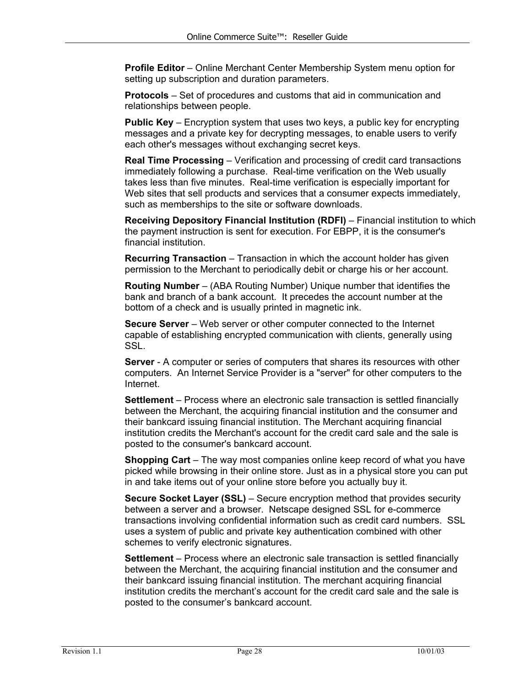**Profile Editor** – Online Merchant Center Membership System menu option for setting up subscription and duration parameters.

**Protocols** – Set of procedures and customs that aid in communication and relationships between people.

**Public Key** – Encryption system that uses two keys, a public key for encrypting messages and a private key for decrypting messages, to enable users to verify each other's messages without exchanging secret keys.

**Real Time Processing** – Verification and processing of credit card transactions immediately following a purchase. Real-time verification on the Web usually takes less than five minutes. Real-time verification is especially important for Web sites that sell products and services that a consumer expects immediately, such as memberships to the site or software downloads.

**Receiving Depository Financial Institution (RDFI)** – Financial institution to which the payment instruction is sent for execution. For EBPP, it is the consumer's financial institution.

**Recurring Transaction** – Transaction in which the account holder has given permission to the Merchant to periodically debit or charge his or her account.

**Routing Number** – (ABA Routing Number) Unique number that identifies the bank and branch of a bank account. It precedes the account number at the bottom of a check and is usually printed in magnetic ink.

**Secure Server** – Web server or other computer connected to the Internet capable of establishing encrypted communication with clients, generally using SSL.

**Server** - A computer or series of computers that shares its resources with other computers. An Internet Service Provider is a "server" for other computers to the Internet.

**Settlement** – Process where an electronic sale transaction is settled financially between the Merchant, the acquiring financial institution and the consumer and their bankcard issuing financial institution. The Merchant acquiring financial institution credits the Merchant's account for the credit card sale and the sale is posted to the consumer's bankcard account.

**Shopping Cart** – The way most companies online keep record of what you have picked while browsing in their online store. Just as in a physical store you can put in and take items out of your online store before you actually buy it.

**Secure Socket Layer (SSL)** – Secure encryption method that provides security between a server and a browser. Netscape designed SSL for e-commerce transactions involving confidential information such as credit card numbers. SSL uses a system of public and private key authentication combined with other schemes to verify electronic signatures.

**Settlement** – Process where an electronic sale transaction is settled financially between the Merchant, the acquiring financial institution and the consumer and their bankcard issuing financial institution. The merchant acquiring financial institution credits the merchant's account for the credit card sale and the sale is posted to the consumer's bankcard account.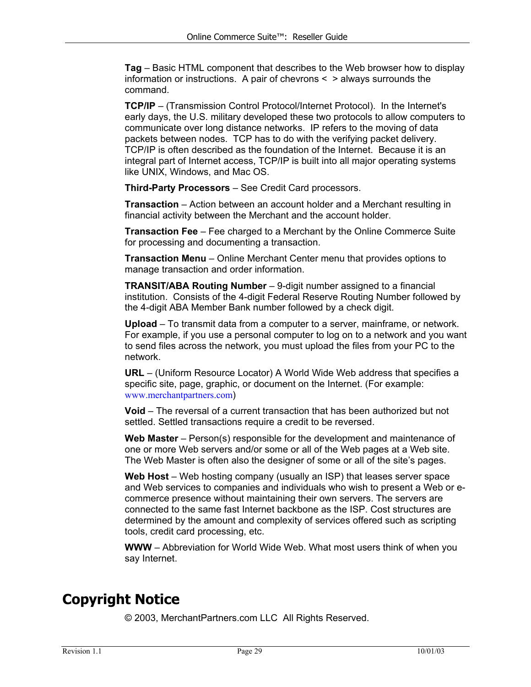<span id="page-28-0"></span>**Tag** – Basic HTML component that describes to the Web browser how to display information or instructions. A pair of chevrons < > always surrounds the command.

**TCP/IP** – (Transmission Control Protocol/Internet Protocol). In the Internet's early days, the U.S. military developed these two protocols to allow computers to communicate over long distance networks. IP refers to the moving of data packets between nodes. TCP has to do with the verifying packet delivery. TCP/IP is often described as the foundation of the Internet. Because it is an integral part of Internet access, TCP/IP is built into all major operating systems like UNIX, Windows, and Mac OS.

**Third-Party Processors** – See Credit Card processors.

**Transaction** – Action between an account holder and a Merchant resulting in financial activity between the Merchant and the account holder.

**Transaction Fee** – Fee charged to a Merchant by the Online Commerce Suite for processing and documenting a transaction.

**Transaction Menu** – Online Merchant Center menu that provides options to manage transaction and order information.

**TRANSIT/ABA Routing Number** – 9-digit number assigned to a financial institution. Consists of the 4-digit Federal Reserve Routing Number followed by the 4-digit ABA Member Bank number followed by a check digit.

**Upload** – To transmit data from a computer to a server, mainframe, or network. For example, if you use a personal computer to log on to a network and you want to send files across the network, you must upload the files from your PC to the network.

**URL** – (Uniform Resource Locator) A World Wide Web address that specifies a specific site, page, graphic, or document on the Internet. (For example: [www.merchantpartners.com](http://www.innuity.com/))

**Void** – The reversal of a current transaction that has been authorized but not settled. Settled transactions require a credit to be reversed.

**Web Master** – Person(s) responsible for the development and maintenance of one or more Web servers and/or some or all of the Web pages at a Web site. The Web Master is often also the designer of some or all of the site's pages.

**Web Host** – Web hosting company (usually an ISP) that leases server space and Web services to companies and individuals who wish to present a Web or ecommerce presence without maintaining their own servers. The servers are connected to the same fast Internet backbone as the ISP. Cost structures are determined by the amount and complexity of services offered such as scripting tools, credit card processing, etc.

**WWW** – Abbreviation for World Wide Web. What most users think of when you say Internet.

## **Copyright Notice**

© 2003, MerchantPartners.com LLC All Rights Reserved.